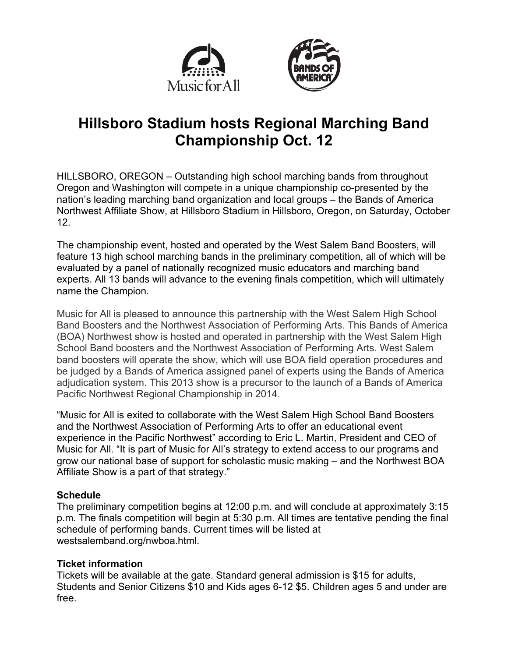



# **Hillsboro Stadium hosts Regional Marching Band Championship Oct. 12**

HILLSBORO, OREGON – Outstanding high school marching bands from throughout Oregon and Washington will compete in a unique championship co-presented by the nation's leading marching band organization and local groups – the Bands of America Northwest Affiliate Show, at Hillsboro Stadium in Hillsboro, Oregon, on Saturday, October 12.

The championship event, hosted and operated by the West Salem Band Boosters, will feature 13 high school marching bands in the preliminary competition, all of which will be evaluated by a panel of nationally recognized music educators and marching band experts. All 13 bands will advance to the evening finals competition, which will ultimately name the Champion.

Music for All is pleased to announce this partnership with the West Salem High School Band Boosters and the Northwest Association of Performing Arts. This Bands of America (BOA) Northwest show is hosted and operated in partnership with the West Salem High School Band boosters and the Northwest Association of Performing Arts. West Salem band boosters will operate the show, which will use BOA field operation procedures and be judged by a Bands of America assigned panel of experts using the Bands of America adjudication system. This 2013 show is a precursor to the launch of a Bands of America Pacific Northwest Regional Championship in 2014.

"Music for All is exited to collaborate with the West Salem High School Band Boosters and the Northwest Association of Performing Arts to offer an educational event experience in the Pacific Northwest" according to Eric L. Martin, President and CEO of Music for All. "It is part of Music for All's strategy to extend access to our programs and grow our national base of support for scholastic music making – and the Northwest BOA Affiliate Show is a part of that strategy."

# **Schedule**

The preliminary competition begins at 12:00 p.m. and will conclude at approximately 3:15 p.m. The finals competition will begin at 5:30 p.m. All times are tentative pending the final schedule of performing bands. Current times will be listed at westsalemband.org/nwboa.html.

# **Ticket information**

Tickets will be available at the gate. Standard general admission is \$15 for adults, Students and Senior Citizens \$10 and Kids ages 6-12 \$5. Children ages 5 and under are free.